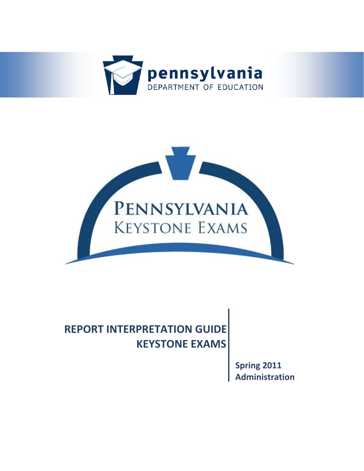



# **REPORT INTERPRETATION GUIDE KEYSTONE EXAMS**

**Spring 2011 Administration**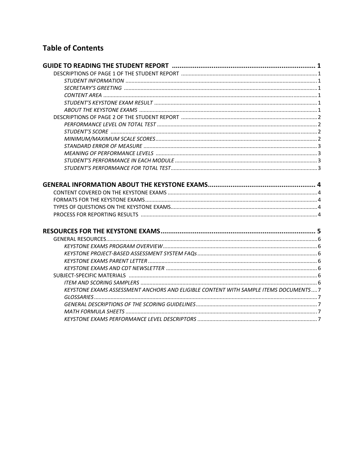## **Table of Contents**

| KEYSTONE EXAMS ASSESSMENT ANCHORS AND ELIGIBLE CONTENT WITH SAMPLE ITEMS DOCUMENTS 7 |  |
|--------------------------------------------------------------------------------------|--|
|                                                                                      |  |
|                                                                                      |  |
|                                                                                      |  |
|                                                                                      |  |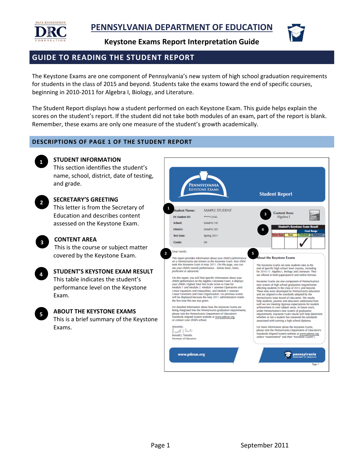

### **GUIDE TO READING THE STUDENT REPORT**

The Keystone Exams are one component of Pennsylvania's new system of high school graduation requirements for students in the class of 2015 and beyond. Students take the exams toward the end of specific courses, beginning in 2010‐2011 for Algebra I, Biology, and Literature.

The Student Report displays how a student performed on each Keystone Exam. This guide helps explain the scores on the student's report. If the student did not take both modules of an exam, part of the report is blank. Remember, these exams are only one measure of the student's growth academically.

#### **DESCRIPTIONS OF PAGE 1 OF THE STUDENT REPORT**



**2**

#### **STUDENT INFORMATION**

This section identifies the student's name, school, district, date of testing, and grade.

#### **SECRETARY'S GREETING**

This letter is from the Secretary of Education and describes content assessed on the Keystone Exam.



#### **CONTENT AREA**

This is the course or subject matter covered by the Keystone Exam.



#### **STUDENT'S KEYSTONE EXAM RESULT** This table indicates the student's performance level on the Keystone



Exam.

## **ABOUT THE KEYSTONE EXAMS**

This is a brief summary of the Keystone Exams.



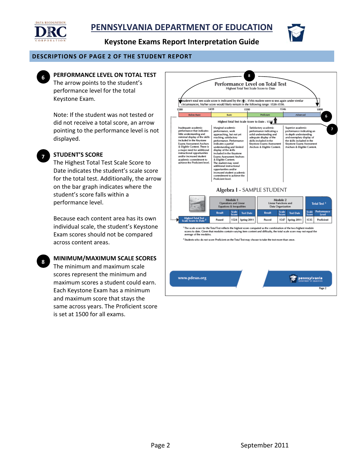



#### **DESCRIPTIONS OF PAGE 2 OF THE STUDENT REPORT**



### **8 PERFORMANCE LEVEL ON TOTAL TEST**

The arrow points to the student's performance level for the total Keystone Exam.

Note: If the student was not tested or did not receive a total score, an arrow pointing to the performance level is not displayed.



**8**

### **STUDENT'S SCORE**

The Highest Total Test Scale Score to Date indicates the student's scale score for the total test. Additionally, the arrow on the bar graph indicates where the student's score falls within a performance level.

Because each content area has its own individual scale, the student's Keystone Exam scores should not be compared across content areas.

#### **MINIMUM/MAXIMUM SCALE SCORES**

The minimum and maximum scale scores represent the minimum and maximum scores a student could earn. Each Keystone Exam has a minimum and maximum score that stays the same across years. The Proficient score is set at 1500 for all exams.

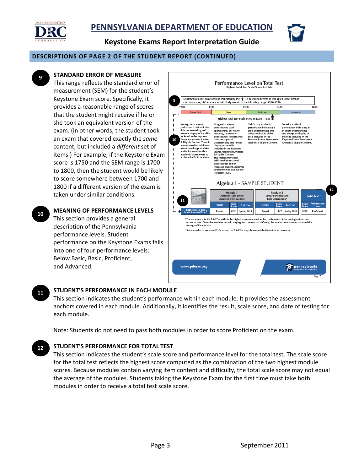



#### **DESCRIPTIONS OF PAGE 2 OF THE STUDENT REPORT (CONTINUED)**



### **STANDARD ERROR OF MEASURE**

This range reflects the standard error of measurement (SEM) for the student's Keystone Exam score. Specifically, it provides a reasonable range of scores that the student might receive if he or she took an equivalent version of the exam. (In other words, the student took an exam that covered exactly the *same* content, but included a *different* set of items.) For example, if the Keystone Exam score is 1750 and the SEM range is 1700 to 1800, then the student would be likely to score somewhere between 1700 and 1800 if a different version of the exam is taken under similar conditions.

**MEANING OF PERFORMANCE LEVELS** This section provides a general description of the Pennsylvania performance levels. Student performance on the Keystone Exams falls into one of four performance levels: Below Basic, Basic, Proficient, and Advanced. **10**



#### **STUDENT'S PERFORMANCE IN EACH MODULE 11**

This section indicates the student's performance within each module. It provides the assessment anchors covered in each module. Additionally, it identifies the result, scale score, and date of testing for each module.

Note: Students do not need to pass both modules in order to score Proficient on the exam.

#### **STUDENT'S PERFORMANCE FOR TOTAL TEST 12**

This section indicates the student's scale score and performance level for the total test. The scale score for the total test reflects the highest score computed as the combination of the two highest module scores. Because modules contain varying item content and difficulty, the total scale score may not equal the average of the modules. Students taking the Keystone Exam for the first time must take both modules in order to receive a total test scale score.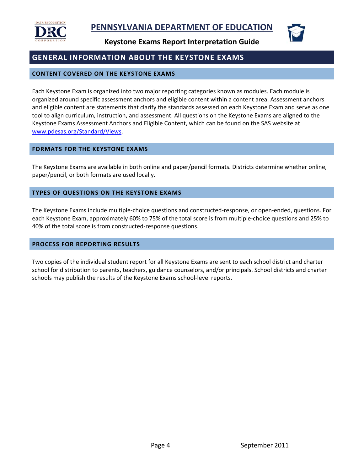



### **GENERAL INFORMATION ABOUT THE KEYSTONE EXAMS**

#### **CONTENT COVERED ON THE KEYSTONE EXAMS**

Each Keystone Exam is organized into two major reporting categories known as modules. Each module is organized around specific assessment anchors and eligible content within a content area. Assessment anchors and eligible content are statements that clarify the standards assessed on each Keystone Exam and serve as one tool to align curriculum, instruction, and assessment. All questions on the Keystone Exams are aligned to the Keystone Exams Assessment Anchors and Eligible Content, which can be found on the SAS website at www.pdesas.org/Standard/Views.

#### **FORMATS FOR THE KEYSTONE EXAMS**

The Keystone Exams are available in both online and paper/pencil formats. Districts determine whether online, paper/pencil, or both formats are used locally.

#### **TYPES OF QUESTIONS ON THE KEYSTONE EXAMS**

The Keystone Exams include multiple‐choice questions and constructed‐response, or open‐ended, questions. For each Keystone Exam, approximately 60% to 75% of the total score is from multiple‐choice questions and 25% to 40% of the total score is from constructed‐response questions.

#### **PROCESS FOR REPORTING RESULTS**

Two copies of the individual student report for all Keystone Exams are sent to each school district and charter school for distribution to parents, teachers, guidance counselors, and/or principals. School districts and charter schools may publish the results of the Keystone Exams school‐level reports.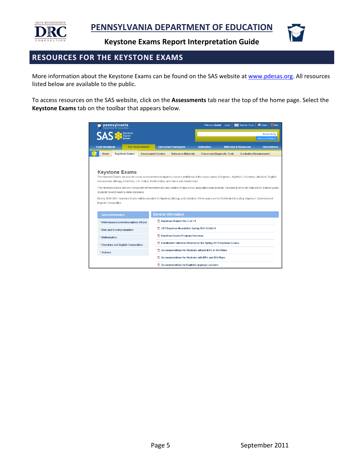



### **RESOURCES FOR THE KEYSTONE EXAMS**

More information about the Keystone Exams can be found on the SAS website at www.pdesas.org. All resources listed below are available to the public.

To access resources on the SAS website, click on the **Assessments** tab near the top of the home page. Select the **Keystone Exams** tab on the toolbar that appears below.

| <b>pennsylvania</b>                                                                |                           |                                                                                                                                                                                                                                                                                                                                                                                                                                                                                                                                                                                         |                    | $A$ Home<br><b>CO</b> Help<br>Teacher Tools<br>Welcome, Guest<br>Login |                                  |                                   |  |
|------------------------------------------------------------------------------------|---------------------------|-----------------------------------------------------------------------------------------------------------------------------------------------------------------------------------------------------------------------------------------------------------------------------------------------------------------------------------------------------------------------------------------------------------------------------------------------------------------------------------------------------------------------------------------------------------------------------------------|--------------------|------------------------------------------------------------------------|----------------------------------|-----------------------------------|--|
| Standards<br>Aligned<br>System<br><b>SAS</b>                                       |                           |                                                                                                                                                                                                                                                                                                                                                                                                                                                                                                                                                                                         |                    |                                                                        |                                  | SearchQ<br><b>Advanced Search</b> |  |
| <b>Clear Standards</b>                                                             | <b>Fair Assessments</b>   | <b>Curriculum Framework</b>                                                                                                                                                                                                                                                                                                                                                                                                                                                                                                                                                             | <b>Instruction</b> |                                                                        | <b>Materials &amp; Resources</b> | <b>Interventions</b>              |  |
| <b>About</b><br><b>Keystone Exams</b>                                              | <b>Assessment Creator</b> | <b>Reference Materials</b>                                                                                                                                                                                                                                                                                                                                                                                                                                                                                                                                                              |                    | <b>Classroom Diagnostic Tools</b>                                      | <b>Graduation Requirements</b>   |                                   |  |
| Keystone Exams<br>students toward meeting state standards.<br>English Composition. |                           | The Keystone Exams are end-of-course assessments designed to assess proficiency in the subject areas of Algebra I, Algebra II, Geometry, Literature, English<br>Composition, Biology, Chemistry, U.S. History, World History, and Civics and Government.<br>The Keystone Exams are one component of Pennsylvania's new system of high school graduation requirements. Keystone Exams will help school districts guide<br>During 2010-2011 Keystone Exams will be available for Algebra I, Biology, and Literature. Other exams will be field tested including: Algebra II, Geometry and |                    |                                                                        |                                  |                                   |  |
| > General Information                                                              |                           | <b>General Information</b><br>Keystone Project FAQ 4-28-11                                                                                                                                                                                                                                                                                                                                                                                                                                                                                                                              |                    |                                                                        |                                  |                                   |  |
| > Performance Level Descriptors (PLDs)                                             |                           | CDT Keystone Newsletter Spring 2011 02.04.11                                                                                                                                                                                                                                                                                                                                                                                                                                                                                                                                            |                    |                                                                        |                                  |                                   |  |
| > Item and Scoring Samplers                                                        |                           | R Keystone Exams Program Overview                                                                                                                                                                                                                                                                                                                                                                                                                                                                                                                                                       |                    |                                                                        |                                  |                                   |  |
| > Mathematics                                                                      |                           | Enrollment Collection Window for the Spring 2011 Keystone Exams                                                                                                                                                                                                                                                                                                                                                                                                                                                                                                                         |                    |                                                                        |                                  |                                   |  |
| > Literature and English Composition                                               |                           | Accommodations for Students without IEPs or 504 Plans                                                                                                                                                                                                                                                                                                                                                                                                                                                                                                                                   |                    |                                                                        |                                  |                                   |  |
| > Science                                                                          |                           |                                                                                                                                                                                                                                                                                                                                                                                                                                                                                                                                                                                         |                    |                                                                        |                                  |                                   |  |
|                                                                                    |                           | Accommodations for Students with IEPs and 504 Plans                                                                                                                                                                                                                                                                                                                                                                                                                                                                                                                                     |                    |                                                                        |                                  |                                   |  |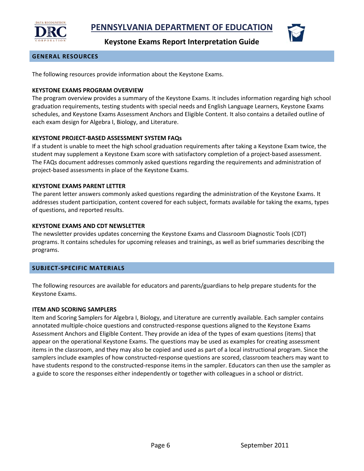



#### **GENERAL RESOURCES**

The following resources provide information about the Keystone Exams.

#### **KEYSTONE EXAMS PROGRAM OVERVIEW**

The program overview provides a summary of the Keystone Exams. It includes information regarding high school graduation requirements, testing students with special needs and English Language Learners, Keystone Exams schedules, and Keystone Exams Assessment Anchors and Eligible Content. It also contains a detailed outline of each exam design for Algebra I, Biology, and Literature.

#### **KEYSTONE PROJECT‐BASED ASSESSMENT SYSTEM FAQs**

If a student is unable to meet the high school graduation requirements after taking a Keystone Exam twice, the student may supplement a Keystone Exam score with satisfactory completion of a project‐based assessment. The FAQs document addresses commonly asked questions regarding the requirements and administration of project‐based assessments in place of the Keystone Exams.

#### **KEYSTONE EXAMS PARENT LETTER**

The parent letter answers commonly asked questions regarding the administration of the Keystone Exams. It addresses student participation, content covered for each subject, formats available for taking the exams, types of questions, and reported results.

#### **KEYSTONE EXAMS AND CDT NEWSLETTER**

The newsletter provides updates concerning the Keystone Exams and Classroom Diagnostic Tools (CDT) programs. It contains schedules for upcoming releases and trainings, as well as brief summaries describing the programs.

#### **SUBJECT‐SPECIFIC MATERIALS**

The following resources are available for educators and parents/guardians to help prepare students for the Keystone Exams.

#### **ITEM AND SCORING SAMPLERS**

Item and Scoring Samplers for Algebra I, Biology, and Literature are currently available. Each sampler contains annotated multiple‐choice questions and constructed‐response questions aligned to the Keystone Exams Assessment Anchors and Eligible Content. They provide an idea of the types of exam questions (items) that appear on the operational Keystone Exams. The questions may be used as examples for creating assessment items in the classroom, and they may also be copied and used as part of a local instructional program. Since the samplers include examples of how constructed-response questions are scored, classroom teachers may want to have students respond to the constructed-response items in the sampler. Educators can then use the sampler as a guide to score the responses either independently or together with colleagues in a school or district.